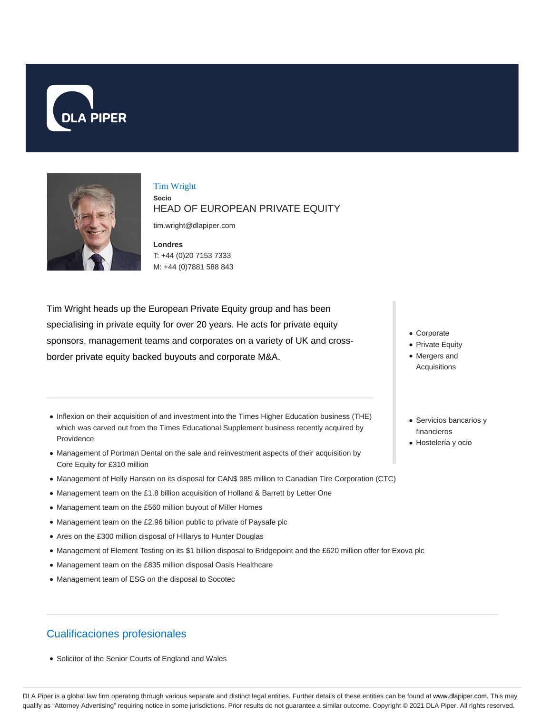



#### Tim Wright **Socio** HEAD OF EUROPEAN PRIVATE EQUITY

tim.wright@dlapiper.com

**Londres** T: +44 (0)20 7153 7333 M: +44 (0)7881 588 843

Tim Wright heads up the European Private Equity group and has been specialising in private equity for over 20 years. He acts for private equity sponsors, management teams and corporates on a variety of UK and crossborder private equity backed buyouts and corporate M&A.

- Inflexion on their acquisition of and investment into the Times Higher Education business (THE) which was carved out from the Times Educational Supplement business recently acquired by Providence
- Management of Portman Dental on the sale and reinvestment aspects of their acquisition by Core Equity for £310 million
- Management of Helly Hansen on its disposal for CAN\$ 985 million to Canadian Tire Corporation (CTC)
- Management team on the £1.8 billion acquisition of Holland & Barrett by Letter One
- Management team on the £560 million buyout of Miller Homes
- Management team on the £2.96 billion public to private of Paysafe plc
- Ares on the £300 million disposal of Hillarys to Hunter Douglas
- Management of Element Testing on its \$1 billion disposal to Bridgepoint and the £620 million offer for Exova plc
- Management team on the £835 million disposal Oasis Healthcare
- Management team of ESG on the disposal to Socotec

# Cualificaciones profesionales

Solicitor of the Senior Courts of England and Wales

- Corporate
- Private Equity
- Mergers and Acquisitions
- Servicios bancarios y financieros
- Hostelería y ocio

DLA Piper is a global law firm operating through various separate and distinct legal entities. Further details of these entities can be found at www.dlapiper.com. This may qualify as "Attorney Advertising" requiring notice in some jurisdictions. Prior results do not guarantee a similar outcome. Copyright © 2021 DLA Piper. All rights reserved.